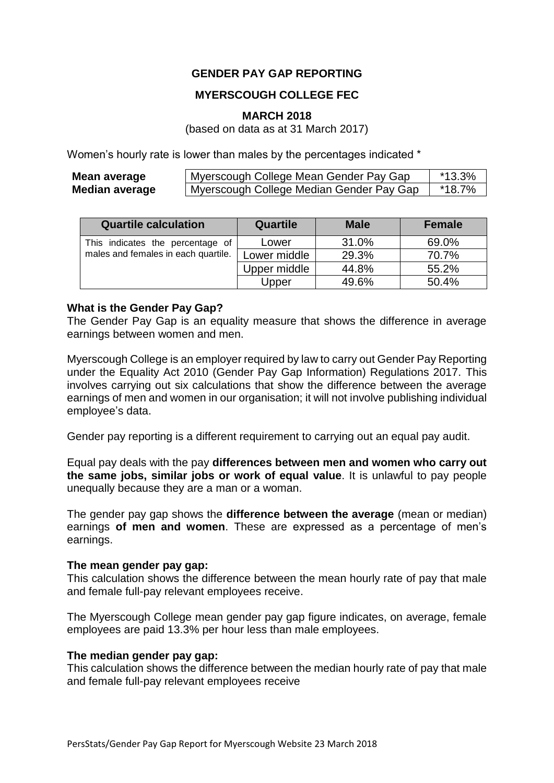# **GENDER PAY GAP REPORTING**

# **MYERSCOUGH COLLEGE FEC**

#### **MARCH 2018**

(based on data as at 31 March 2017)

Women's hourly rate is lower than males by the percentages indicated \*

| Mean average          | Myerscough College Mean Gender Pay Gap     | *13.3% |
|-----------------------|--------------------------------------------|--------|
| <b>Median average</b> | I Myerscough College Median Gender Pay Gap | *18.7% |

| <b>Quartile calculation</b>         | <b>Quartile</b> | <b>Male</b> | <b>Female</b> |
|-------------------------------------|-----------------|-------------|---------------|
| This indicates the percentage of    | Lower           | 31.0%       | 69.0%         |
| males and females in each quartile. | Lower middle    | 29.3%       | 70.7%         |
|                                     | Upper middle    | 44.8%       | 55.2%         |
|                                     | Upper           | 49.6%       | 50.4%         |

#### **What is the Gender Pay Gap?**

The Gender Pay Gap is an equality measure that shows the difference in average earnings between women and men.

Myerscough College is an employer required by law to carry out Gender Pay Reporting under the Equality Act 2010 (Gender Pay Gap Information) Regulations 2017. This involves carrying out six calculations that show the difference between the average earnings of men and women in our organisation; it will not involve publishing individual employee's data.

Gender pay reporting is a different requirement to carrying out an equal pay audit.

Equal pay deals with the pay **differences between men and women who carry out the same jobs, similar jobs or work of equal value**. It is unlawful to pay people unequally because they are a man or a woman.

The gender pay gap shows the **difference between the average** (mean or median) earnings **of men and women**. These are expressed as a percentage of men's earnings.

### **The mean gender pay gap:**

This calculation shows the difference between the mean hourly rate of pay that male and female full-pay relevant employees receive.

The Myerscough College mean gender pay gap figure indicates, on average, female employees are paid 13.3% per hour less than male employees.

### **The median gender pay gap:**

This calculation shows the difference between the median hourly rate of pay that male and female full-pay relevant employees receive